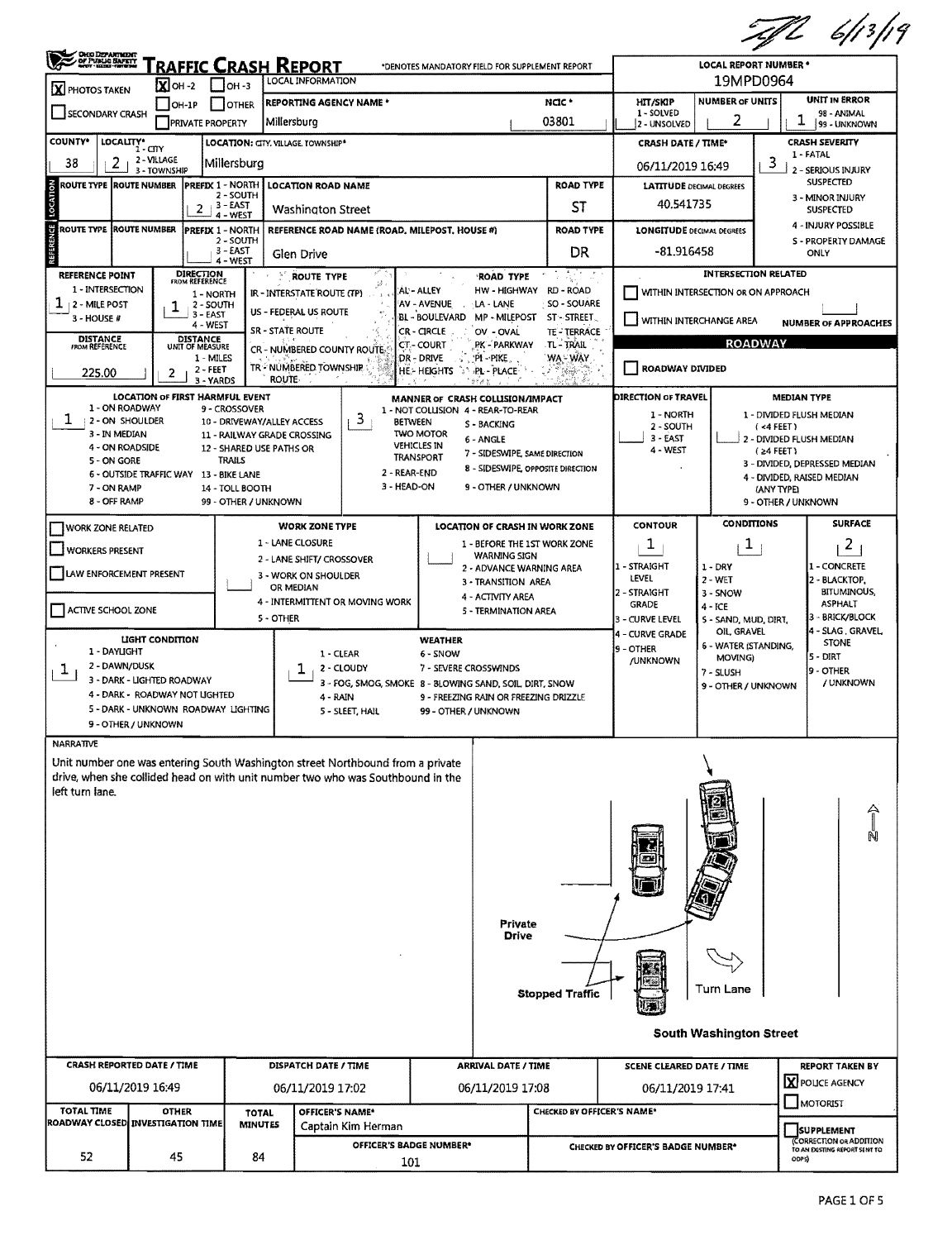|                                                                                                                                                                                     |                                                                                                                                                                                           |                                                                                                                                                                              |                                                                                                                                                                                                                                               |                                                                                                                                         |                                                                                                                                                                                                                      |                                                     | :47 6/13/19                                                                                                                                                                       |  |  |  |
|-------------------------------------------------------------------------------------------------------------------------------------------------------------------------------------|-------------------------------------------------------------------------------------------------------------------------------------------------------------------------------------------|------------------------------------------------------------------------------------------------------------------------------------------------------------------------------|-----------------------------------------------------------------------------------------------------------------------------------------------------------------------------------------------------------------------------------------------|-----------------------------------------------------------------------------------------------------------------------------------------|----------------------------------------------------------------------------------------------------------------------------------------------------------------------------------------------------------------------|-----------------------------------------------------|-----------------------------------------------------------------------------------------------------------------------------------------------------------------------------------|--|--|--|
| <b>OHIO DEPARTMENT</b><br>OF PUBLIC SAFETY                                                                                                                                          | RAFFIC CRASH REPORT                                                                                                                                                                       | LOCAL INFORMATION                                                                                                                                                            | *DENOTES MANDATORY FIELD FOR SUPPLEMENT REPORT                                                                                                                                                                                                | <b>LOCAL REPORT NUMBER *</b><br>19MPD0964                                                                                               |                                                                                                                                                                                                                      |                                                     |                                                                                                                                                                                   |  |  |  |
| $\overline{\mathbf{X}}$ oh -2<br>X PHOTOS TAKEN<br>OH-1P                                                                                                                            | $\mathsf{I}$ $\mathsf{I}$ OH -3<br>I IOTHER                                                                                                                                               | <b>REPORTING AGENCY NAME *</b>                                                                                                                                               |                                                                                                                                                                                                                                               | NCIC *                                                                                                                                  | <b>HIT/SKIP</b>                                                                                                                                                                                                      | <b>UNIT IN ERROR</b><br><b>NUMBER OF UNITS</b>      |                                                                                                                                                                                   |  |  |  |
| <b>SECONDARY CRASH</b>                                                                                                                                                              | <b>PRIVATE PROPERTY</b>                                                                                                                                                                   | Millersburg                                                                                                                                                                  |                                                                                                                                                                                                                                               | 03801                                                                                                                                   | 1 - SOLVED<br>2 - UNSOLVED                                                                                                                                                                                           | 2                                                   | 98 - ANIMAL<br>T<br>99 - UNKNOWN                                                                                                                                                  |  |  |  |
| <b>COUNTY*</b><br>LOCALITY* CITY                                                                                                                                                    | LOCATION: CITY, VILLAGE, TOWNSHIP*                                                                                                                                                        | <b>CRASH DATE / TIME*</b>                                                                                                                                                    | <b>CRASH SEVERITY</b>                                                                                                                                                                                                                         |                                                                                                                                         |                                                                                                                                                                                                                      |                                                     |                                                                                                                                                                                   |  |  |  |
| 2 - VILLAGE<br>38<br>2<br>3 - TOWNSHIP                                                                                                                                              | Millersburg                                                                                                                                                                               |                                                                                                                                                                              |                                                                                                                                                                                                                                               | 06/11/2019 16:49                                                                                                                        |                                                                                                                                                                                                                      | 1 - FATAL<br>3<br>2 - SERIOUS INJURY                |                                                                                                                                                                                   |  |  |  |
| <b>ROUTE TYPE ROUTE NUMBER</b>                                                                                                                                                      |                                                                                                                                                                                           | <b>PREFIX 1 - NORTH LOCATION ROAD NAME</b>                                                                                                                                   |                                                                                                                                                                                                                                               | <b>ROAD TYPE</b>                                                                                                                        | <b>LATITUDE DECIMAL DEGREES</b>                                                                                                                                                                                      | <b>SUSPECTED</b>                                    |                                                                                                                                                                                   |  |  |  |
| LOCATION                                                                                                                                                                            | 2 - SOUTH<br>$2 + 3 - EAST$<br>4 - WEST                                                                                                                                                   | <b>Washington Street</b>                                                                                                                                                     |                                                                                                                                                                                                                                               | ST                                                                                                                                      | 40.541735                                                                                                                                                                                                            |                                                     | 3 - MINOR INJURY<br><b>SUSPECTED</b>                                                                                                                                              |  |  |  |
| ÿ<br><b>ROUTE TYPE ROUTE NUMBER</b>                                                                                                                                                 | <b>IPREFIX 1 - NORTH</b>                                                                                                                                                                  | REFERENCE ROAD NAME (ROAD, MILEPOST, HOUSE #)                                                                                                                                |                                                                                                                                                                                                                                               | <b>ROAD TYPE</b>                                                                                                                        | <b>LONGITUDE DECIMAL DEGREES</b>                                                                                                                                                                                     |                                                     | 4 - INJURY POSSIBLE                                                                                                                                                               |  |  |  |
|                                                                                                                                                                                     | 2 - SOUTH<br>3 - EAST<br>4 - WEST                                                                                                                                                         | Glen Drive                                                                                                                                                                   |                                                                                                                                                                                                                                               | DR                                                                                                                                      | -81.916458                                                                                                                                                                                                           |                                                     | S - PROPERTY DAMAGE<br>ONLY                                                                                                                                                       |  |  |  |
| <b>REFERENCE POINT</b><br>1 - INTERSECTION<br>$\perp$   2 - MILE POST<br>ı<br>3 - HOUSE #<br><b>DISTANCE</b><br>FROM REFERENCE<br>225.00<br>2                                       | DIRECTION<br>FROM REFERENCE<br>1 - NORTH<br>2 - SOUTH<br>$3 - EAST$<br>4 - WEST<br>DISTANCE<br>UNIT OF MEASURE<br>1 - MILES<br>$2 - FEET$<br>3 - YARDS<br>LOCATION OF FIRST HARMFUL EVENT | <b>NOUTE TYPE</b><br>38.<br>IR - INTERSTATE ROUTE (TP)<br>US - FEDERAL US ROUTE<br><b>SR - STATE ROUTE</b><br>CR - NUMBERED COUNTY ROUTE<br>TR - NUMBERED TOWNSHIP<br>ROUTE- | ROAD TYPE<br>AL - ALLEY<br>AV - AVENUE<br>LA - LANE<br><b>BL - BOULEVARD</b><br>CR-CIRCLE<br>OV - OVAL<br><b>CT-COURT</b><br>PK - PARKWAY<br>:DR - DRIVE<br>'PI - PIKE<br><b>HE-HEIGHTS</b><br>PL - PLACE<br>MANNER OF CRASH COLLISION/IMPACT | $\sim 10^{-1}$<br>HW-HIGHWAY RD-ROAD<br>SO - SOUARE<br>MP - MILEPOST ST - STREET<br><b>TE-TERRACE</b><br>TL - TRAIL<br>WA - WAY<br>WA S | <b>INTERSECTION RELATED</b><br>WITHIN INTERSECTION OR ON APPROACH<br>WITHIN INTERCHANGE AREA<br><b>NUMBER OF APPROACHES</b><br><b>ROADWAY</b><br>ROADWAY DIVIDED<br><b>DIRECTION OF TRAVEL</b><br><b>MEDIAN TYPE</b> |                                                     |                                                                                                                                                                                   |  |  |  |
| 1 - ON ROADWAY<br>ı<br>2 - ON SHOULDER<br>3 - IN MEDIAN<br>4 - ON ROADSIDE<br>5 - ON GORE<br>6 - OUTSIDE TRAFFIC WAY 13 - BIKE LANE<br>7 - ON RAMP<br>8 - OFF RAMP                  | 9 - CROSSOVER<br>10 - DRIVEWAY/ALLEY ACCESS<br>12 - SHARED USE PATHS OR<br>TRAILS<br>14 - TOLL BOOTH<br>99 - OTHER / UNKNOWN                                                              | 3<br>11 - RAILWAY GRADE CROSSING<br>2 - REAR-END<br>3 - HEAD-ON                                                                                                              | 1 - NOT COLLISION 4 - REAR-TO-REAR<br><b>BETWEEN</b><br>S - BACKING<br><b>TWO MOTOR</b><br>6 - ANGLE<br><b>VEHICLES IN</b><br>7 - SIDESWIPE, SAME DIRECTION<br>TRANSPORT<br>9 - OTHER / UNKNOWN                                               | 8 - SIDESWIPE, OPPOSITE DIRECTION                                                                                                       | 1 - NORTH<br>2 - SOUTH<br>3 - EAST<br>4 - WEST                                                                                                                                                                       |                                                     | 1 - DIVIDED FLUSH MEDIAN<br>(4 FEET)<br>2 - DIVIDED FLUSH MEDIAN<br>(≥4 FEET)<br>3 - DIVIDED, DEPRESSED MEDIAN<br>4 - DIVIDED, RAISED MEDIAN<br>(ANY TYPE)<br>9 - OTHER / UNKNOWN |  |  |  |
| WORK ZONE RELATED                                                                                                                                                                   |                                                                                                                                                                                           | <b>WORK ZONE TYPE</b>                                                                                                                                                        | LOCATION OF CRASH IN WORK ZONE                                                                                                                                                                                                                |                                                                                                                                         | <b>CONTOUR</b>                                                                                                                                                                                                       | <b>CONDITIONS</b>                                   | <b>SURFACE</b>                                                                                                                                                                    |  |  |  |
| WORKERS PRESENT                                                                                                                                                                     |                                                                                                                                                                                           | 1 - LANE CLOSURE<br>2 - LANE SHIFT/ CROSSOVER                                                                                                                                | 1 - BEFORE THE 1ST WORK ZONE<br><b>WARNING SIGN</b>                                                                                                                                                                                           |                                                                                                                                         | ı                                                                                                                                                                                                                    | T,                                                  | $\overline{a}$                                                                                                                                                                    |  |  |  |
| LAW ENFORCEMENT PRESENT                                                                                                                                                             |                                                                                                                                                                                           | 3 - WORK ON SHOULDER<br>OR MEDIAN                                                                                                                                            | 2 - ADVANCE WARNING AREA<br>3 - TRANSITION AREA<br>4 - ACTIVITY AREA                                                                                                                                                                          |                                                                                                                                         | 1 - STRAIGHT<br>LEVEL<br>2 - STRAIGHT                                                                                                                                                                                | $1 - DRY$<br>$2 - WET$<br>3 - SNOW                  | 1 - CONCRETE<br>2 - BLACKTOP,<br><b>BITUMINOUS,</b>                                                                                                                               |  |  |  |
| ACTIVE SCHOOL ZONE                                                                                                                                                                  |                                                                                                                                                                                           | 4 - INTERMITTENT OR MOVING WORK<br>5 - OTHER                                                                                                                                 | 5 - TERMINATION AREA                                                                                                                                                                                                                          |                                                                                                                                         | <b>GRADE</b><br>3 - CURVE LEVEL<br>4 - CURVE GRADE                                                                                                                                                                   | $4 - ICE$<br>5 - SAND, MUD, DIRT,<br>OIL, GRAVEL    | <b>ASPHALT</b><br>3 - BRICK/BLOCK<br>4 - SLAG, GRAVEL,                                                                                                                            |  |  |  |
| LIGHT CONDITION<br>1 - DAYLIGHT<br>2 - DAWN/DUSK<br>Ŧ,<br>3 - DARK - LIGHTED ROADWAY<br>4 - DARK - ROADWAY NOT UGHTED<br>5 - DARK - UNKNOWN ROADWAY LIGHTING<br>9 - OTHER / UNKNOWN |                                                                                                                                                                                           | 1 - CLEAR<br>2 - CLOUDY<br>4 - RAIN<br>5 - SLEET, HAIL                                                                                                                       | <b>WEATHER</b><br>6 - SNOW<br>7 - SEVERE CROSSWINDS<br>3 - FOG, SMOG, SMOKE 8 - BLOWING SAND, SOIL, DIRT, SNOW<br>9 - FREEZING RAIN OR FREEZING DRIZZLE<br>99 - OTHER / UNKNOWN                                                               | 9 - OTHER<br>/UNKNOWN                                                                                                                   | 6 - WATER (STANDING,<br>MOVING)<br>7 - SLUSH<br>9 - OTHER / UNKNOWN                                                                                                                                                  | <b>STONE</b><br> 5 - DIRT<br>9 - OTHER<br>/ UNKNOWN |                                                                                                                                                                                   |  |  |  |
| <b>NARRATIVE</b><br>left turn lane.                                                                                                                                                 |                                                                                                                                                                                           | Unit number one was entering South Washington street Northbound from a private<br>drive, when she collided head on with unit number two who was Southbound in the            | <b>Private</b><br>Drive                                                                                                                                                                                                                       |                                                                                                                                         |                                                                                                                                                                                                                      |                                                     | Ą                                                                                                                                                                                 |  |  |  |
| CRASH REPORTED DATE / TIME<br>06/11/2019 16:49                                                                                                                                      |                                                                                                                                                                                           | <b>DISPATCH DATE / TIME</b><br>06/11/2019 17:02                                                                                                                              | <b>ARRIVAL DATE / TIME</b><br>06/11/2019 17:08                                                                                                                                                                                                | <b>Stopped Traffic</b>                                                                                                                  | <b>SCENE CLEARED DATE / TIME</b><br>06/11/2019 17:41                                                                                                                                                                 | Turn Lane<br><b>South Washington Street</b>         | <b>REPORT TAKEN BY</b><br>X POLICE AGENCY                                                                                                                                         |  |  |  |
| <b>TOTAL TIME</b><br><b>OTHER</b>                                                                                                                                                   |                                                                                                                                                                                           | OFFICER'S NAME*                                                                                                                                                              |                                                                                                                                                                                                                                               | CHECKED BY OFFICER'S NAME*                                                                                                              |                                                                                                                                                                                                                      |                                                     | MOTORIST                                                                                                                                                                          |  |  |  |
| ROADWAY CLOSED INVESTIGATION TIME<br>52<br>45                                                                                                                                       | <b>TOTAL</b><br><b>MINUTES</b><br>84                                                                                                                                                      | Captain Kim Herman<br>101                                                                                                                                                    | OFFICER'S BADGE NUMBER*                                                                                                                                                                                                                       |                                                                                                                                         | <b>SUPPLEMENT</b><br>CORRECTION OR ADDITION<br>CHECKED BY OFFICER'S BADGE NUMBER*<br>TO AN EXISTING REPORT SENT TO<br>ODPS)                                                                                          |                                                     |                                                                                                                                                                                   |  |  |  |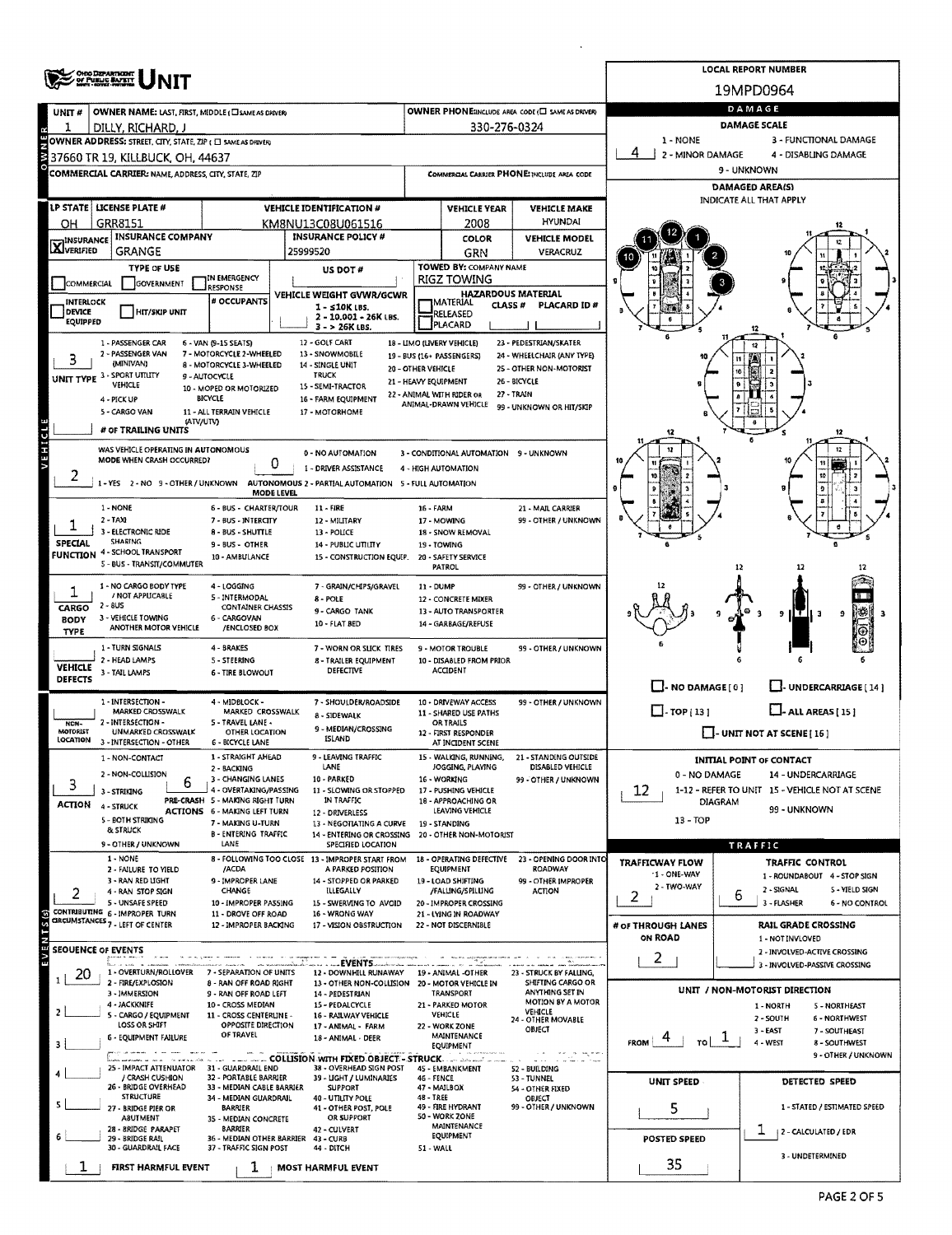|                                                                                                                                                                                                                                                    | OHO DEPARTMENT<br>OF PUBLIC BAPETY                                                                                                    |                                                            | <b>LOCAL REPORT NUMBER</b>               |                                                                                  |                                                 |                                                               |                                                                         |                                                                        |                                                           |  |  |  |  |  |  |
|----------------------------------------------------------------------------------------------------------------------------------------------------------------------------------------------------------------------------------------------------|---------------------------------------------------------------------------------------------------------------------------------------|------------------------------------------------------------|------------------------------------------|----------------------------------------------------------------------------------|-------------------------------------------------|---------------------------------------------------------------|-------------------------------------------------------------------------|------------------------------------------------------------------------|-----------------------------------------------------------|--|--|--|--|--|--|
|                                                                                                                                                                                                                                                    |                                                                                                                                       |                                                            |                                          |                                                                                  |                                                 |                                                               |                                                                         | 19MPD0964                                                              |                                                           |  |  |  |  |  |  |
| UNIT#                                                                                                                                                                                                                                              | OWNER NAME: LAST, FIRST, MIDDLE ( I SAME AS DRIVER)                                                                                   |                                                            |                                          |                                                                                  |                                                 |                                                               | OWNER PHONE:INCLUDE AREA CODE (EL SAME AS DRIVER)                       | DAMAGE                                                                 |                                                           |  |  |  |  |  |  |
|                                                                                                                                                                                                                                                    | DILLY, RICHARD, J                                                                                                                     |                                                            |                                          |                                                                                  |                                                 | 330-276-0324                                                  |                                                                         | <b>DAMAGE SCALE</b>                                                    |                                                           |  |  |  |  |  |  |
|                                                                                                                                                                                                                                                    | OWNER ADDRESS: STREET, CITY, STATE, ZIP ( C SAME AS DRIVER)                                                                           |                                                            |                                          | 1 - NONE<br>3 - FUNCTIONAL DAMAGE<br>2 - MINOR DAMAGE<br>4 - DISABLING DAMAGE    |                                                 |                                                               |                                                                         |                                                                        |                                                           |  |  |  |  |  |  |
|                                                                                                                                                                                                                                                    | 137660 TR 19, KILLBUCK, OH, 44637<br>COMMERCIAL CARRIER: NAME ADDRESS, CITY, STATE, ZIP                                               |                                                            |                                          |                                                                                  | COMMERCIAL CARRIER PHONE: INCLUDE AREA CODE     |                                                               |                                                                         | 9 - UNKNOWN                                                            |                                                           |  |  |  |  |  |  |
|                                                                                                                                                                                                                                                    |                                                                                                                                       |                                                            |                                          |                                                                                  |                                                 |                                                               |                                                                         | <b>DAMAGED AREA(S)</b>                                                 |                                                           |  |  |  |  |  |  |
| LP STATE<br><b>LICENSE PLATE #</b><br><b>VEHICLE IDENTIFICATION #</b>                                                                                                                                                                              |                                                                                                                                       |                                                            |                                          |                                                                                  |                                                 | <b>VEHICLE YEAR</b>                                           | <b>VEHICLE MAKE</b>                                                     | <b>INDICATE ALL THAT APPLY</b>                                         |                                                           |  |  |  |  |  |  |
| ОН                                                                                                                                                                                                                                                 | GRR8151<br>KM8NU13C08U061516                                                                                                          |                                                            |                                          |                                                                                  |                                                 | 2008                                                          | <b>HYUNDAI</b>                                                          |                                                                        |                                                           |  |  |  |  |  |  |
| <b>X</b> INSURANCE                                                                                                                                                                                                                                 | <b>INSURANCE COMPANY</b><br><b>INSURANCE POLICY #</b>                                                                                 |                                                            |                                          |                                                                                  |                                                 | COLOR                                                         | <b>VEHICLE MODEL</b>                                                    |                                                                        |                                                           |  |  |  |  |  |  |
|                                                                                                                                                                                                                                                    | <b>GRANGE</b>                                                                                                                         |                                                            |                                          | 25999520                                                                         |                                                 | GRN<br>TOWED BY: COMPANY NAME                                 | VERACRUZ                                                                |                                                                        |                                                           |  |  |  |  |  |  |
| <b>TYPE OF USE</b><br>IN EMERGENCY<br>COMMERCIAL<br><b>GOVERNMENT</b>                                                                                                                                                                              |                                                                                                                                       |                                                            |                                          | US DOT#                                                                          |                                                 | <b>RIGZ TOWING</b>                                            |                                                                         |                                                                        |                                                           |  |  |  |  |  |  |
| INTERLOCK                                                                                                                                                                                                                                          | <b>RESPONSE</b><br># OCCUPANTS                                                                                                        |                                                            | VEHICLE WEIGHT GVWR/GCWR                 |                                                                                  | <b>HAZARDOUS MATERIAL</b><br>MATERIAL<br>CLASS# | <b>PLACARD ID#</b>                                            |                                                                         |                                                                        |                                                           |  |  |  |  |  |  |
| <b>DEVICE</b><br>EQUIPPED                                                                                                                                                                                                                          | <b>HIT/SKIP UNIT</b>                                                                                                                  |                                                            | $1 - 510K$ LBS.<br>2 - 10.001 - 26K LBS. |                                                                                  |                                                 | RELEASED                                                      |                                                                         |                                                                        |                                                           |  |  |  |  |  |  |
|                                                                                                                                                                                                                                                    |                                                                                                                                       |                                                            |                                          | $3 - 26K$ LBS.                                                                   |                                                 | PLACARD                                                       |                                                                         |                                                                        |                                                           |  |  |  |  |  |  |
| 1 - PASSENGER CAR<br>12 - GOLF CART<br>18 - LIMO (LIVERY VEHICLE)<br>23 - PEDESTRIAN/SKATER<br>6 - VAN (9-15 SEATS)<br>2 - PASSENGER VAN<br>7 - MOTORCYCLE 2-WHEELED<br>13 - SNOWMOBILE<br>24 - WHEELCHAIR (ANY TYPE)<br>19 - BUS (16+ PASSENGERS) |                                                                                                                                       |                                                            |                                          |                                                                                  |                                                 |                                                               |                                                                         |                                                                        |                                                           |  |  |  |  |  |  |
|                                                                                                                                                                                                                                                    | (MINIVAN)<br>UNIT TYPE 3 - SPORT UTILITY                                                                                              | 8 - MOTORCYCLE 3-WHEELED<br>9 - AUTOCYCLE                  |                                          | 14 - SINGLE UNIT<br>20 - OTHER VEHICLE<br><b>TRUCK</b>                           | 25 - OTHER NON-MOTORIST                         |                                                               |                                                                         |                                                                        |                                                           |  |  |  |  |  |  |
|                                                                                                                                                                                                                                                    | VEHICLE                                                                                                                               | 10 - MOPED OR MOTORIZED                                    |                                          | 15 - SEMI-TRACTOR                                                                | 21 - HEAVY EQUIPMENT                            | 22 - ANIMAL WITH RIDER OR                                     | 26 - BICYCLE<br>27 - TRAIN                                              |                                                                        |                                                           |  |  |  |  |  |  |
|                                                                                                                                                                                                                                                    | 4 - PICK UP<br>5 - CARGO VAN                                                                                                          | BICYCLE<br>11 - ALL TERRAIN VEHICLE                        |                                          | 16 - FARM EQUIPMENT<br>17 - MOTORHOME                                            |                                                 | ANIMAL-DRAWN VEHICLE                                          | 99 - UNKNOWN OR HIT/SKIP                                                |                                                                        |                                                           |  |  |  |  |  |  |
|                                                                                                                                                                                                                                                    | (ATV/UTV)<br># OF TRAILING UNITS                                                                                                      |                                                            |                                          |                                                                                  |                                                 |                                                               |                                                                         | 12                                                                     | 12                                                        |  |  |  |  |  |  |
| <b>VEHICL</b>                                                                                                                                                                                                                                      | WAS VEHICLE OPERATING IN AUTONOMOUS                                                                                                   |                                                            |                                          | 0 - NO AUTOMATION                                                                |                                                 |                                                               |                                                                         |                                                                        | 12                                                        |  |  |  |  |  |  |
|                                                                                                                                                                                                                                                    | MODE WHEN CRASH OCCURRED?                                                                                                             |                                                            | 0                                        | 1 - DRIVER ASSISTANCE                                                            |                                                 | 3 - CONDITIONAL AUTOMATION 9 - UNKNOWN<br>4 - HIGH AUTOMATION |                                                                         |                                                                        |                                                           |  |  |  |  |  |  |
|                                                                                                                                                                                                                                                    | 1 - YES<br>2 - NO 9 - OTHER / UNKNOWN                                                                                                 |                                                            |                                          | AUTONOMOUS 2 - PARTIAL AUTOMATION 5 - FULL AUTOMATION                            |                                                 |                                                               |                                                                         |                                                                        |                                                           |  |  |  |  |  |  |
|                                                                                                                                                                                                                                                    | 1 - NONE                                                                                                                              |                                                            | <b>MODE LEVEL</b>                        | $11 - FIRE$                                                                      |                                                 |                                                               |                                                                         |                                                                        |                                                           |  |  |  |  |  |  |
|                                                                                                                                                                                                                                                    | 2 - TAXI                                                                                                                              | 6 - BUS - CHARTER/TOUR<br>7 - BUS - INTERCITY              |                                          | 12 - MILITARY                                                                    | 16 - FARM                                       | 17 - MOWING                                                   | 21 - MAIL CARRIER<br>99 - OTHER / UNKNOWN                               |                                                                        |                                                           |  |  |  |  |  |  |
| <b>SPECIAL</b>                                                                                                                                                                                                                                     | 3 - ELECTRONIC RIDE<br>8 - BUS - SHUTTLE<br>13 - POLICE<br>SHARING                                                                    |                                                            |                                          |                                                                                  |                                                 | 18 - SNOW REMOVAL                                             |                                                                         |                                                                        |                                                           |  |  |  |  |  |  |
|                                                                                                                                                                                                                                                    | <b>FUNCTION 4 - SCHOOL TRANSPORT</b>                                                                                                  | 9 - BUS - OTHER<br>10 - AMBULANCE                          |                                          | 14 - PUBLIC UTILITY<br>15 - CONSTRUCTION EQUIP.                                  |                                                 | 19 - TOWING<br>20 - SAFETY SERVICE                            |                                                                         |                                                                        |                                                           |  |  |  |  |  |  |
|                                                                                                                                                                                                                                                    | 5 - BUS - TRANSIT/COMMUTER                                                                                                            |                                                            |                                          |                                                                                  |                                                 | PATROL                                                        |                                                                         |                                                                        |                                                           |  |  |  |  |  |  |
|                                                                                                                                                                                                                                                    | 1 - NO CARGO BODY TYPE<br>/ NOT APPLICABLE                                                                                            | 4 - LOGGING<br>5 - INTERMODAL                              |                                          | 7 - GRAIN/CHIPS/GRAVEL<br>$8 - POLE$                                             | 11 - DUMP                                       | 12 - CONCRETE MIXER                                           | 99 - OTHER / UNKNOWN                                                    |                                                                        |                                                           |  |  |  |  |  |  |
| 2 - 8US<br>CONTAINER CHASSIS<br>CARGO<br>9 - CARGO TANK<br>3 - VEHICLE TOWING                                                                                                                                                                      |                                                                                                                                       |                                                            |                                          |                                                                                  |                                                 | 13 - AUTO TRANSPORTER                                         |                                                                         |                                                                        | lT_l1 3<br>9<br>9                                         |  |  |  |  |  |  |
| <b>BODY</b><br><b>TYPE</b>                                                                                                                                                                                                                         | ANOTHER MOTOR VEHICLE                                                                                                                 | 6 - CARGOVAN<br>/ENCLOSED BOX                              |                                          | 10 - FLAT BED                                                                    |                                                 | 14 - GARBAGE/REFUSE                                           |                                                                         |                                                                        |                                                           |  |  |  |  |  |  |
|                                                                                                                                                                                                                                                    | 1 - TURN SIGNALS                                                                                                                      | 4 - BRAKES                                                 |                                          | 7 - WORN OR SLICK TIRES                                                          |                                                 | 9 - MOTOR TROUBLE                                             | 99 - OTHER / UNKNOWN                                                    |                                                                        |                                                           |  |  |  |  |  |  |
| <b>VEHICLE</b>                                                                                                                                                                                                                                     | 2 - HEAD LAMPS<br>3 - TAIL LAMPS                                                                                                      | <b>S-STEERING</b><br><b>6 - TIRE BLOWOUT</b>               |                                          | 8 - TRAILER EQUIPMENT<br>DEFECTIVE                                               |                                                 | 10 - DISABLED FROM PRIOR<br><b>ACCIDENT</b>                   |                                                                         |                                                                        |                                                           |  |  |  |  |  |  |
| DEFECTS                                                                                                                                                                                                                                            |                                                                                                                                       |                                                            |                                          |                                                                                  |                                                 |                                                               |                                                                         | $\Box$ - NO DAMAGE $[0]$                                               | U-UNDERCARRIAGE [14]                                      |  |  |  |  |  |  |
|                                                                                                                                                                                                                                                    | 1 - INTERSECTION -<br>4 - MIDBLOCK -<br>7 - SHOULDER/ROADSIDE<br><b>MARKED CROSSWALK</b><br>MARKED CROSSWALK<br>8 - SIDEWALK          |                                                            |                                          |                                                                                  |                                                 | 10 - DRIVEWAY ACCESS<br><b>11 - SHARED USE PATHS</b>          | 99 - OTHER / UNKNOWN                                                    | $\Box$ -TOP(13)<br>$\Box$ - ALL AREAS [15]                             |                                                           |  |  |  |  |  |  |
| NON-<br>MOTORIST                                                                                                                                                                                                                                   | 2 - INTERSECTION -<br>UNMARKED CROSSWALK                                                                                              | 5 - TRAVEL LANE -<br>9 - MEDIAN/CROSSING<br>OTHER LOCATION |                                          |                                                                                  |                                                 | <b>OR TRAILS</b>                                              |                                                                         |                                                                        | $\Box$ - UNIT NOT AT SCENE [16]                           |  |  |  |  |  |  |
| LOCATION                                                                                                                                                                                                                                           | 3 - INTERSECTION - OTHER                                                                                                              | <b>6 - BICYCLE LANE</b>                                    |                                          | <b>ISLAND</b>                                                                    |                                                 | 12 - FIRST RESPONDER<br>AT INCIDENT SCENE                     |                                                                         |                                                                        |                                                           |  |  |  |  |  |  |
|                                                                                                                                                                                                                                                    | 1 - NON-CONTACT                                                                                                                       | 1 - STRAIGHT AHEAD<br>2 - BACKING                          |                                          | 9 - LEAVING TRAFFIC<br>LANE                                                      |                                                 | 15 - WALKING, RUNNING,<br>JOGGING, PLAYING                    | 21 - STANDING OUTSIDE<br>DISABLED VEHICLE                               | <b>INITIAL POINT OF CONTACT</b>                                        |                                                           |  |  |  |  |  |  |
| 3                                                                                                                                                                                                                                                  | 2 - NON-COLLISION<br>6                                                                                                                | 3 - CHANGING LANES                                         |                                          | 10 - PARKED                                                                      |                                                 | 16 - WORKING                                                  | 99 - OTHER / UNKNOWN                                                    | 0 - NO DAMAGE<br>14 - UNDERCARRIAGE                                    |                                                           |  |  |  |  |  |  |
| ACTION                                                                                                                                                                                                                                             | 3 - STRIKING<br>4 - STRUCK                                                                                                            | 4 - OVERTAKING/PASSING<br>PRE-CRASH 5 - MAKING RIGHT TURN  |                                          | 11 - SLOWING OR STOPPED<br>IN TRAFFIC                                            |                                                 | 17 - PUSHING VEHICLE<br>18 - APPROACHING OR                   |                                                                         | 12<br>1-12 - REFER TO UNIT 15 - VEHICLE NOT AT SCENE<br><b>DIAGRAM</b> |                                                           |  |  |  |  |  |  |
|                                                                                                                                                                                                                                                    | 5 - BOTH STRIKING                                                                                                                     | ACTIONS 6 - MAKING LEFT TURN<br>7 - MAKING U-TURN          |                                          | 12 - DRIVERLESS<br>13 - NEGOTIATING A CURVE                                      |                                                 | LEAVING VEHICLE<br>19 - STANDING                              |                                                                         | 99 - UNKNOWN<br>$13 - TOP$                                             |                                                           |  |  |  |  |  |  |
|                                                                                                                                                                                                                                                    | & STRUCK<br>9 - OTHER / UNKNOWN                                                                                                       | <b>B-ENTERING TRAFFIC</b><br>LANE                          |                                          | 14 - ENTERING OR CROSSING                                                        |                                                 | 20 - OTHER NON-MOTORIST                                       |                                                                         | TRAFFIC                                                                |                                                           |  |  |  |  |  |  |
|                                                                                                                                                                                                                                                    | 1 - NONE                                                                                                                              |                                                            |                                          | SPECIFIED LOCATION<br>8 - FOLLOWING TOO CLOSE 13 - IMPROPER START FROM           |                                                 |                                                               | 18 - OPERATING DEFECTIVE 23 - OPENING DOOR INTO                         | <b>TRAFFICWAY FLOW</b>                                                 | <b>TRAFFIC CONTROL</b>                                    |  |  |  |  |  |  |
|                                                                                                                                                                                                                                                    | 2 - FAILURE TO YIELD<br>3 - RAN RED LIGHT                                                                                             | /ACDA<br>9 - IMPROPER LANE                                 |                                          | A PARKED POSITION<br>14 - STOPPED OR PARKED                                      |                                                 | EQUIPMENT<br>19 - LOAD SHIFTING                               | ROADWAY<br>99 - OTHER IMPROPER                                          | $1 -$ ONE-WAY                                                          | 1 - ROUNDABOUT 4 - STOP SIGN                              |  |  |  |  |  |  |
| 2                                                                                                                                                                                                                                                  | 4 - RAN STOP SIGN                                                                                                                     | CHANGE                                                     |                                          | ILLEGALLY                                                                        |                                                 | /FALLING/SPILLING                                             | <b>ACTION</b>                                                           | 2 - TWO-WAY<br>2                                                       | 2 - SIGNAL<br>5 - YIELD SIGN<br>6                         |  |  |  |  |  |  |
|                                                                                                                                                                                                                                                    | 5 - UNSAFE SPEED<br>CONTRIBUTING 6 - IMPROPER TURN                                                                                    | 10 - IMPROPER PASSING<br>11 - DROVE OFF ROAD               |                                          | 15 - SWERVING TO AVOID<br>16 - WRONG WAY                                         |                                                 | 20 - IMPROPER CROSSING<br>21 - LYING IN ROADWAY               |                                                                         |                                                                        | 3 - FLASHER<br>6 - NO CONTROL                             |  |  |  |  |  |  |
| $5.1M_{\odot}$                                                                                                                                                                                                                                     | CIRCUMSTANCES <sub>7</sub> - LEFT OF CENTER                                                                                           | 12 - IMPROPER BACKING                                      |                                          | 17 - VISION OBSTRUCTION                                                          |                                                 | 22 - NOT DISCERNIBLE                                          |                                                                         | # OF THROUGH LANES<br>ON ROAD                                          | <b>RAIL GRADE CROSSING</b>                                |  |  |  |  |  |  |
| SEOUENCE OF EVENTS                                                                                                                                                                                                                                 |                                                                                                                                       |                                                            |                                          |                                                                                  |                                                 |                                                               |                                                                         |                                                                        | 1 - NOT INVLOVED<br>2 - INVOLVED-ACTIVE CROSSING          |  |  |  |  |  |  |
| ΓĒ,<br>20                                                                                                                                                                                                                                          | Barriot and a<br>1 - OVERTURN/ROLLOVER                                                                                                | 7 - SEPARATION OF UNITS                                    |                                          | EVENTS<br>12 - DOWNHILL RUNAWAY                                                  |                                                 | 19 - ANIMAL -OTHER                                            | 23 - STRUCK BY FALLING,                                                 | 2                                                                      | 3 - INVOLVED-PASSIVE CROSSING                             |  |  |  |  |  |  |
|                                                                                                                                                                                                                                                    | 2 - FIRE/EXPLOSION<br>3 - IMMERSION                                                                                                   | 8 - RAN OFF ROAD RIGHT<br>9 - RAN OFF ROAD LEFT            |                                          | 13 - OTHER NON-COLLISION 20 - MOTOR VEHICLE IN<br>14 - PEDESTRIAN                |                                                 | TRANSPORT                                                     | SHIFTING CARGO OR<br>ANYTHING SET IN                                    |                                                                        | UNIT / NON-MOTORIST DIRECTION                             |  |  |  |  |  |  |
| 2                                                                                                                                                                                                                                                  | 4 - JACKKNIFE                                                                                                                         | 10 - CROSS MEDIAN                                          |                                          | 15 - PEDALCYCLE                                                                  |                                                 | 21 - PARKED MOTOR                                             | MOTION BY A MOTOR<br>VEHICLE                                            |                                                                        | 1 - NORTH<br>5 - NORTHEAST                                |  |  |  |  |  |  |
|                                                                                                                                                                                                                                                    | 5 - CARGO / EQUIPMENT<br>LOSS OR SHIFT                                                                                                | 11 - CROSS CENTERLINE -<br>OPPOSITE DIRECTION              |                                          | 16 - RAILWAY VEHICLE<br>17 - ANIMAL - FARM                                       |                                                 | <b>VEHICLE</b><br>22 - WORK ZONE                              | 24 - OTHER MOVABLE<br>OBJECT                                            |                                                                        | 6 - NORTHWEST<br>2 - SOUTH<br>$3 - EAST$<br>7 - SOUTHEAST |  |  |  |  |  |  |
| з                                                                                                                                                                                                                                                  | 6 - EQUIPMENT FAILURE                                                                                                                 | OF TRAVEL                                                  |                                          | 18 - ANIMAL - DEER                                                               |                                                 | MAINTENANCE<br>EQUIPMENT                                      |                                                                         | <b>FROM</b><br>۳٥I                                                     | T.<br>4 - WEST<br>8 - SOUTHWEST                           |  |  |  |  |  |  |
|                                                                                                                                                                                                                                                    | 25 - IMPACT ATTENUATOR 31 - GUARDRAIL END                                                                                             |                                                            |                                          | <b>COLLISION WITH FIXED OBJECT - STRUCK COLLISION WITH FIXED OBJECT - STRUCK</b> |                                                 |                                                               | in a program<br>$\sim$ - $\sim$<br>and a strong company of the stronger |                                                                        | 9 - OTHER / UNKNOWN                                       |  |  |  |  |  |  |
|                                                                                                                                                                                                                                                    | / CRASH CUSHION                                                                                                                       | 32 - PORTABLE BARRIER                                      |                                          | 38 - OVERHEAD SIGN POST<br>39 - LIGHT / LUMINARIES                               | 46 - FENCE                                      | 45 - EMBANKMENT                                               | 52 - BUILDING<br>53 - TUNNEL                                            | UNIT SPEED                                                             | DETECTED SPEED                                            |  |  |  |  |  |  |
|                                                                                                                                                                                                                                                    | 26 - BRIDGE OVERHEAD<br>33 - MEDIAN CABLE BARRIER<br><b>SUPPORT</b><br><b>STRUCTURE</b><br>34 - MEDIAN GUARDRAIL<br>40 - UTILITY POLE |                                                            |                                          |                                                                                  | 48 - TREE                                       | 47 - MAILBOX                                                  | 54 - OTHER FIXED<br>OBJECT<br>99 - OTHER / UNKNOWN                      |                                                                        |                                                           |  |  |  |  |  |  |
|                                                                                                                                                                                                                                                    | 27 - BRIDGE PIER OR<br><b>BARRIER</b><br>41 - OTHER POST, POLE<br>OR SUPPORT<br><b>ASUTMENT</b><br>35 - MEDIAN CONCRETE               |                                                            |                                          |                                                                                  |                                                 | 49 - FIRE HYDRANT<br>50 - WORK ZONE                           | 5                                                                       | 1 - STATED / ESTIMATED SPEED                                           |                                                           |  |  |  |  |  |  |
|                                                                                                                                                                                                                                                    | 28 - BRIDGE PARAPET<br><b>BARRIER</b><br>42 - CULVERT<br>29 - BRIDGE RAIL<br>36 - MEDIAN OTHER BARRIER 43 - CURB                      |                                                            |                                          |                                                                                  |                                                 | MAINTENANCE<br>EQUIPMENT                                      |                                                                         | <b>POSTED SPEED</b>                                                    | ı<br>  2 - CALCULATED / EDR                               |  |  |  |  |  |  |
|                                                                                                                                                                                                                                                    | 30 - GUARDRAIL FACE<br>37 - TRAFFIC SIGN POST<br>44 - DITCH                                                                           |                                                            |                                          |                                                                                  |                                                 |                                                               | 51 - WALL                                                               |                                                                        |                                                           |  |  |  |  |  |  |
|                                                                                                                                                                                                                                                    | FIRST HARMFUL EVENT                                                                                                                   | ı                                                          |                                          | <b>MOST HARMFUL EVENT</b>                                                        |                                                 |                                                               |                                                                         | 35                                                                     | 3 - UNDETERMINED                                          |  |  |  |  |  |  |

 $\sim 10^{-1}$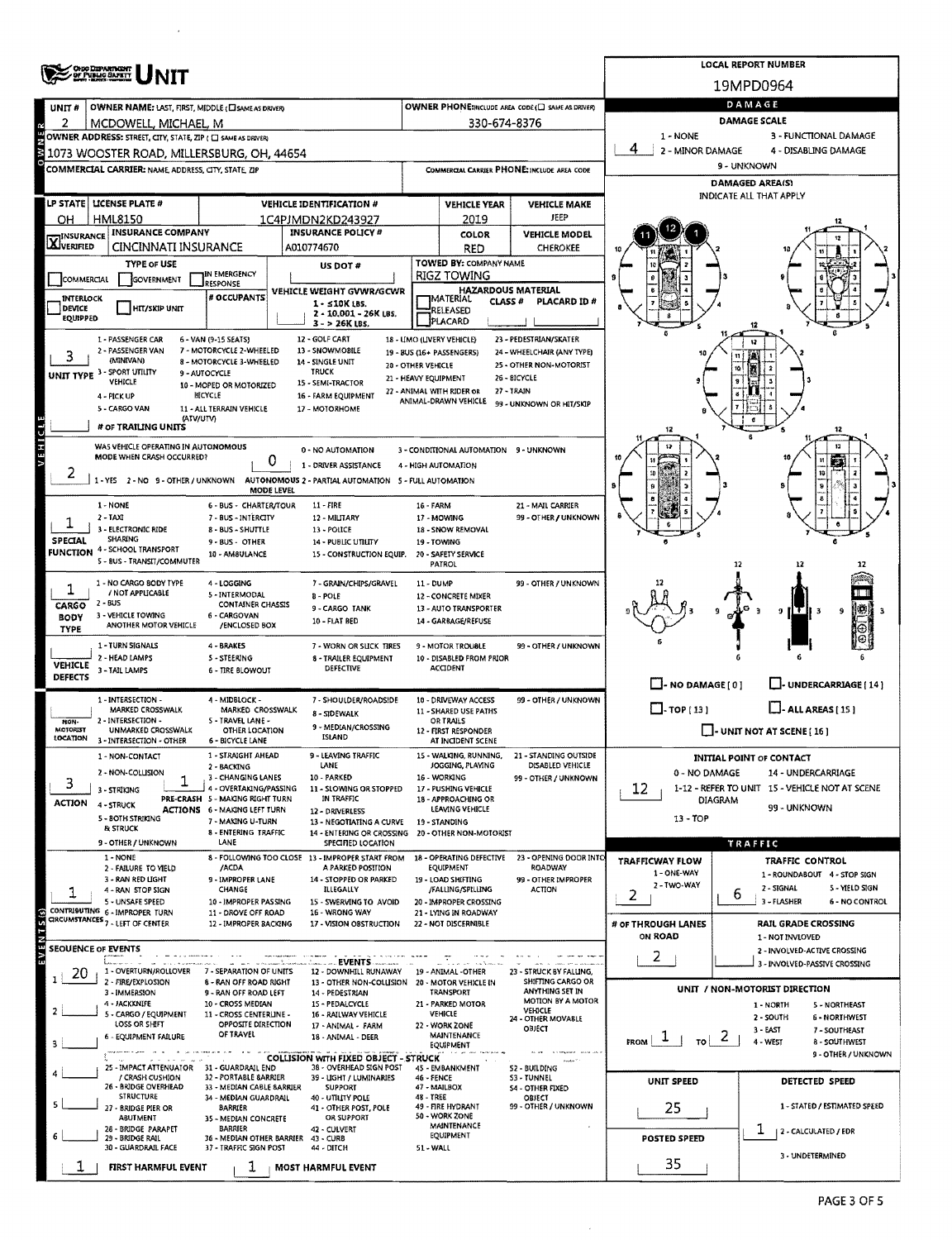|                                                                                                                                                                                                                                                | <b>ONG DEPARTMENT</b><br>OF PUBLIC SAMETY                                                                                                  |                                                                 | <b>LOCAL REPORT NUMBER</b>                                             |                                                                                                             |                                                   |                                                   |                                                                                    |                                                 |  |  |  |  |  |
|------------------------------------------------------------------------------------------------------------------------------------------------------------------------------------------------------------------------------------------------|--------------------------------------------------------------------------------------------------------------------------------------------|-----------------------------------------------------------------|------------------------------------------------------------------------|-------------------------------------------------------------------------------------------------------------|---------------------------------------------------|---------------------------------------------------|------------------------------------------------------------------------------------|-------------------------------------------------|--|--|--|--|--|
|                                                                                                                                                                                                                                                |                                                                                                                                            |                                                                 |                                                                        |                                                                                                             |                                                   |                                                   | 19MPD0964                                                                          |                                                 |  |  |  |  |  |
| UNIT <sub>#</sub>                                                                                                                                                                                                                              | OWNER NAME: LAST, FIRST, MIDDLE (CI SAME AS DRIVER)                                                                                        |                                                                 |                                                                        |                                                                                                             |                                                   | OWNER PHONE: MCLUDE AREA CODE (C) SAME AS DRIVERY | DAMAGE                                                                             |                                                 |  |  |  |  |  |
| R                                                                                                                                                                                                                                              | MCDOWELL, MICHAEL, M                                                                                                                       |                                                                 |                                                                        |                                                                                                             | 330-674-8376                                      |                                                   | DAMAGE SCALE                                                                       |                                                 |  |  |  |  |  |
|                                                                                                                                                                                                                                                | <b>SOWNER ADDRESS:</b> STREET, CITY, STATE, ZIP ( C) SAME AS DRIVER<br><b>S</b> 1073 WOOSTER ROAD, MILLERSBURG, OH, 44654                  |                                                                 |                                                                        |                                                                                                             |                                                   |                                                   | 1 - NONE<br>3 - FUNCTIONAL DAMAGE<br>4<br>2 - MINOR DAMAGE<br>4 - DISABLING DAMAGE |                                                 |  |  |  |  |  |
|                                                                                                                                                                                                                                                | COMMERCIAL CARRIER: NAME, ADDRESS, CITY, STATE, ZIP                                                                                        |                                                                 |                                                                        |                                                                                                             |                                                   | COMMERCIAL CARRIER PHONE: INCLUDE AREA CODE       | 9 - UNKNOWN                                                                        |                                                 |  |  |  |  |  |
|                                                                                                                                                                                                                                                |                                                                                                                                            |                                                                 |                                                                        |                                                                                                             |                                                   |                                                   | <b>DAMAGED AREA(S)</b>                                                             |                                                 |  |  |  |  |  |
|                                                                                                                                                                                                                                                | LP STATE   LICENSE PLATE #                                                                                                                 |                                                                 | <b>VEHICLE IDENTIFICATION #</b>                                        | <b>VEHICLE YEAR</b><br><b>VEHICLE MAKE</b>                                                                  |                                                   |                                                   |                                                                                    | INDICATE ALL THAT APPLY                         |  |  |  |  |  |
| OН                                                                                                                                                                                                                                             | <b>HML8150</b>                                                                                                                             |                                                                 | 1C4PJMDN2KD243927                                                      | JEEP<br>2019<br><b>COLOR</b>                                                                                |                                                   |                                                   |                                                                                    |                                                 |  |  |  |  |  |
| <b>X</b> INSURANCE                                                                                                                                                                                                                             | <b>INSURANCE COMPANY</b>                                                                                                                   | <b>INSURANCE POLICY #</b><br>CINCINNATI INSURANCE<br>A010774670 |                                                                        |                                                                                                             |                                                   | <b>VEHICLE MODEL</b><br><b>CHEROKEE</b>           |                                                                                    |                                                 |  |  |  |  |  |
|                                                                                                                                                                                                                                                | <b>TYPE OF USE</b>                                                                                                                         |                                                                 | US DOT #                                                               |                                                                                                             | <b>RED</b><br>TOWED BY: COMPANY NAME              |                                                   |                                                                                    |                                                 |  |  |  |  |  |
| IN EMERGENCY<br>COMMERCIAL<br><b>GOVERNMENT</b><br><b>ESPONSE</b>                                                                                                                                                                              |                                                                                                                                            |                                                                 |                                                                        |                                                                                                             | RIGZ TOWING                                       |                                                   |                                                                                    |                                                 |  |  |  |  |  |
| <b>INTERLOCK</b>                                                                                                                                                                                                                               |                                                                                                                                            | VEHICLE WEIGHT GVWR/GCWR<br>$1 - 510K$ LBS.                     |                                                                        | <b>HAZARDOUS MATERIAL</b><br><b>IMATERIAL</b><br><b>CLASS#</b>                                              | PLACARD ID #                                      |                                                   |                                                                                    |                                                 |  |  |  |  |  |
| DEVICE<br>EQUIPPED                                                                                                                                                                                                                             | <b>HIT/SKIP UNIT</b>                                                                                                                       |                                                                 | 2 - 10.001 - 26K LBS.<br>$3 - 26K$ LBS.                                |                                                                                                             | RELEASED<br>PLACARD                               |                                                   |                                                                                    |                                                 |  |  |  |  |  |
|                                                                                                                                                                                                                                                | 1 - PASSENGER CAR                                                                                                                          | 6 - VAN (9-15 SEATS)                                            | 12 - GOLF CART                                                         |                                                                                                             | 18 - UMO (LIVERY VEHICLE)                         | 23 - PEDESTRIAN/SKATER                            |                                                                                    |                                                 |  |  |  |  |  |
| 2 - PASSENGER VAN<br>7 - MOTORCYCLE 2-WHEELED<br>13 - SNOWMOBILE<br>19 - 8US (16+ PASSENGERS)<br>24 - WHEELCHAIR (ANY TYPE)<br>≾<br>(MINIVAN)<br>8 - MOTORCYCLE 3-WHEELED<br>14 - SINGLE UNIT<br>25 - OTHER NON-MOTORIST<br>20 - OTHER VEHICLE |                                                                                                                                            |                                                                 |                                                                        |                                                                                                             |                                                   |                                                   |                                                                                    |                                                 |  |  |  |  |  |
|                                                                                                                                                                                                                                                | UNIT TYPE 3 - SPORT UTILITY<br>VEHICLE                                                                                                     | 9 - AUTOCYCLE                                                   | TRUCK<br>15 - SEMI-TRACTOR                                             | 21 - HEAVY EQUIPMENT                                                                                        |                                                   | 26 - BICYCLE                                      |                                                                                    |                                                 |  |  |  |  |  |
|                                                                                                                                                                                                                                                | 4 - PICK UP                                                                                                                                | 10 - MOPED OR MOTORIZED<br>BICYCLE                              | 16 - FARM EQUIPMENT                                                    |                                                                                                             | 22 - ANIMAL WITH RIDER OR<br>ANIMAL-DRAWN VEHICLE | 27 - TRAIN<br>99 - UNKNOWN OR HIT/SKIP            |                                                                                    |                                                 |  |  |  |  |  |
|                                                                                                                                                                                                                                                | 5 - CARGO VAN<br>(ATV/UTV)                                                                                                                 | 11 - ALL TERRAIN VEHICLE                                        | 17 - MOTORHOME                                                         |                                                                                                             |                                                   |                                                   |                                                                                    |                                                 |  |  |  |  |  |
|                                                                                                                                                                                                                                                | # OF TRAILING UNITS                                                                                                                        |                                                                 |                                                                        |                                                                                                             |                                                   |                                                   |                                                                                    | 12                                              |  |  |  |  |  |
| VEHICL                                                                                                                                                                                                                                         | WAS VEHICLE OPERATING IN AUTONOMOUS<br>MODE WHEN CRASH OCCURRED?                                                                           |                                                                 | 0 - NO AUTOMATION                                                      |                                                                                                             | 3 - CONDITIONAL AUTOMATION 9 - UNKNOWN            |                                                   |                                                                                    | 12                                              |  |  |  |  |  |
| ۷                                                                                                                                                                                                                                              |                                                                                                                                            | 0                                                               | 1 - DRIVER ASSISTANCE                                                  |                                                                                                             | 4 - HIGH AUTOMATION                               |                                                   |                                                                                    | X.                                              |  |  |  |  |  |
|                                                                                                                                                                                                                                                | 1 - YES 2 - NO 9 - OTHER / UNKNOWN AUTONOMOUS 2 - PARTIAL AUTOMATION 5 - FULL AUTOMATION                                                   | MODE LEVEL                                                      |                                                                        |                                                                                                             |                                                   |                                                   |                                                                                    |                                                 |  |  |  |  |  |
|                                                                                                                                                                                                                                                | 1 - NONE<br>$2 - TAXI$                                                                                                                     | 6 - BUS - CHARTER/TOUR                                          | $11 - FIRE$                                                            | 16 - FARM                                                                                                   |                                                   | 21 - MAIL CARRIER<br>99 - OTHER / UNKNOWN         |                                                                                    |                                                 |  |  |  |  |  |
|                                                                                                                                                                                                                                                | 3 - ELECTRONIC RIDE                                                                                                                        | 7 - BUS - INTERCITY<br>8 - BUS - SHUTTLE                        | 12 - MILITARY<br>13 - POLICE                                           |                                                                                                             | 17 MOWING<br>18 - SNOW REMOVAL                    |                                                   |                                                                                    |                                                 |  |  |  |  |  |
| SPECIAL<br>FUNCTION                                                                                                                                                                                                                            | SHARING<br>4 - SCHOOL TRANSPORT                                                                                                            | 9 - BUS - OTHER<br>10 - AM8ULANCE                               | 14 - PUBLIC UTILITY<br>15 - CONSTRUCTION EQUIP.                        |                                                                                                             | 19 - TOWING<br>20 - SAFETY SERVICE                |                                                   |                                                                                    |                                                 |  |  |  |  |  |
|                                                                                                                                                                                                                                                | 5 - BUS - TRANSIT/COMMUTER                                                                                                                 |                                                                 |                                                                        |                                                                                                             | <b>PATROL</b>                                     |                                                   |                                                                                    | 12<br>12<br>12                                  |  |  |  |  |  |
|                                                                                                                                                                                                                                                | 1 - NO CARGO BODY TYPE                                                                                                                     | 4 - LOGGING                                                     | 7 - GRAIN/CHIPS/GRAVEL                                                 | 11 - DUMP                                                                                                   |                                                   | 99 - OTHER / UNKNOWN                              |                                                                                    |                                                 |  |  |  |  |  |
| CARGO                                                                                                                                                                                                                                          | / NOT APPUCABLE<br>$2 - BUS$                                                                                                               | 5 - INTERMODAL<br><b>CONTAINER CHASSIS</b>                      | <b>B-POLE</b><br>9 - CARGO TANK                                        |                                                                                                             | 12 - CONCRETE MIXER<br>13 - AUTO TRANSPORTER      |                                                   |                                                                                    | ջ ⊪⊤<br>9                                       |  |  |  |  |  |
| <b>BODY</b><br><b>TYPE</b>                                                                                                                                                                                                                     | 3 - VEHICLE TOWING<br>ANOTHER MOTOR VEHICLE                                                                                                | 6 - CARGOVAN<br>/ENCLOSED BOX                                   | 10 - FLAT BED                                                          |                                                                                                             | 14 - GARBAGE/REFUSE                               |                                                   |                                                                                    |                                                 |  |  |  |  |  |
|                                                                                                                                                                                                                                                | 1 - TURN SIGNALS                                                                                                                           | 4 - BRAKES                                                      | 7 - WORN OR SLICK TIRES                                                |                                                                                                             | 9 - MOTOR TROUBLE                                 | 99 - OTHER / UNKNOWN                              |                                                                                    |                                                 |  |  |  |  |  |
| <b>VEHICLE</b>                                                                                                                                                                                                                                 | 2 - HEAD LAMPS                                                                                                                             | 5 - STEERING                                                    | 8 - TRAILER EQUIPMENT<br>DEFECTIVE                                     |                                                                                                             | 10 - DISABLED FROM PRIOR<br>ACCIDENT              |                                                   |                                                                                    |                                                 |  |  |  |  |  |
| <b>DEFECTS</b>                                                                                                                                                                                                                                 | 3 - TAIL LAMPS                                                                                                                             | 6 - TIRE BLOWOUT                                                |                                                                        |                                                                                                             |                                                   |                                                   | $\Box$ - NO DAMAGE [ 0 ]<br>- UNDERCARRIAGE [14]                                   |                                                 |  |  |  |  |  |
|                                                                                                                                                                                                                                                | 1 - INTERSECTION -                                                                                                                         | 4 - MIDBLOCK -                                                  | 7 - SHOULDER/ROADSIDE                                                  |                                                                                                             | 10 - DRIVEWAY ACCESS                              | 99 - OTHER / UNKNOWN                              |                                                                                    |                                                 |  |  |  |  |  |
| NON-                                                                                                                                                                                                                                           | MARKED CROSSWALK<br>2 - INTERSECTION -                                                                                                     | MARKED CROSSWALK<br>5 - TRAVEL LANE -                           | 8 - SIDEWALK<br>9 - MEDIAN/CROSSING                                    |                                                                                                             | 11 - SHARED USE PATHS<br><b>OR TRAILS</b>         |                                                   | $\Box$ -TOP(13)                                                                    | $\Box$ - ALL AREAS [ 15 ]                       |  |  |  |  |  |
| <b>MOTORIST</b><br>LOCATION                                                                                                                                                                                                                    | UNMARKED CROSSWALK<br>3 - INTERSECTION - OTHER                                                                                             | <b>OTHER LOCATION</b><br>6 - BICYCLE LANE                       | ISLAND                                                                 |                                                                                                             | 12 - FIRST RESPONDER<br>AT INCIDENT SCENE         |                                                   |                                                                                    | $\Box$ - UNIT NOT AT SCENE [16]                 |  |  |  |  |  |
|                                                                                                                                                                                                                                                | 1 - NON-CONTACT                                                                                                                            | 1 - STRAIGHT AHEAD                                              | 9 - LEAVING TRAFFIC                                                    |                                                                                                             | 15 - WALKING, RUNNING,                            | 21 - STANDING OUTSIDE                             |                                                                                    | <b>INITIAL POINT OF CONTACT</b>                 |  |  |  |  |  |
| 3.                                                                                                                                                                                                                                             | 2 - NON-COLLISION                                                                                                                          | 2 - BACKING<br>3 - CHANGING LANES                               | LANE<br>10 - PARKED                                                    |                                                                                                             | JOGGING, PLAYING<br>16 - WORKING                  | DISABLED VEHICLE<br>99 - OTHER / UNKNOWN          | 0 - NO DAMAGE<br>14 - UNDERCARRIAGE                                                |                                                 |  |  |  |  |  |
| ACTION                                                                                                                                                                                                                                         | 3 - STRIKING                                                                                                                               | 4 - OVERTAKING/PASSING<br>PRE-CRASH 5 - MAKING RIGHT TURN       | 11 - SLOWING OR STOPPED<br>IN TRAFFIC                                  |                                                                                                             | 17 - PUSHING VEHICLE<br>18 - APPROACHING OR       |                                                   | 1-12 - REFER TO UNIT 15 - VEHICLE NOT AT SCENE<br>12.<br>DIAGRAM                   |                                                 |  |  |  |  |  |
|                                                                                                                                                                                                                                                | 4 - STRUCK<br>5 - BOTH STRIKING                                                                                                            | ACTIONS 6 - MAKING LEFT TURN<br>7 - MAKING U-TURN               | 12 - DRIVERLESS<br>13 - NEGOTIATING A CURVE                            |                                                                                                             | LEAVING VEHICLE<br>19 - STANDING                  |                                                   | 99 - UNKNOWN<br>13 - TOP                                                           |                                                 |  |  |  |  |  |
|                                                                                                                                                                                                                                                | <b>B. STRUCK</b>                                                                                                                           | 8 - ENTERING TRAFFIC                                            | 14 - ENTERING OR CROSSING 20 - OTHER NON-MOTORIST                      |                                                                                                             |                                                   |                                                   |                                                                                    |                                                 |  |  |  |  |  |
|                                                                                                                                                                                                                                                | 9 - OTHER / UNKNOWN<br>1 - NONE                                                                                                            | LANE                                                            | SPECIFIED LOCATION<br>8 - FOLLOWING TOO CLOSE 13 - IMPROPER START FROM |                                                                                                             | 18 - OPERATING DEFECTIVE                          | 23 - OPENING DOOR INTO                            |                                                                                    | TRAFFIC                                         |  |  |  |  |  |
|                                                                                                                                                                                                                                                | 2 - FAILURE TO VIELD<br>3 - RAN RED LIGHT                                                                                                  | /ACDA<br>9 - IMPROPER LANE                                      | A PARKED POSITION<br>14 - STOPPED OR PARKED                            |                                                                                                             | EQUIPMENT<br>19 - LOAD SHIFTING                   | ROADWAY<br>99 - OTHER IMPROPER                    | TRAFFICWAY FLOW<br>1 - ONE-WAY                                                     | TRAFFIC CONTROL<br>1 - ROUNDABOUT 4 - STOP SIGN |  |  |  |  |  |
|                                                                                                                                                                                                                                                | 4 - RAN STOP SIGN                                                                                                                          | CHANGE                                                          | <b>ILLEGALLY</b>                                                       |                                                                                                             | /FALLING/SPILLING                                 | АСПОН                                             | 2 - TWO-WAY<br>2                                                                   | 2 - SIGNAL<br>5 - MELD SIGN<br>ь                |  |  |  |  |  |
|                                                                                                                                                                                                                                                | 5 - UNSAFE SPEED<br>CONTRIBUTING 6 - IMPROPER TURN                                                                                         | 10 - IMPROPER PASSING<br>11 - DROVE OFF ROAD                    | 15 - SWERVING TO AVOID<br>16 - WRONG WAY                               |                                                                                                             | 20 - IMPROPER CROSSING<br>21 - LYING IN ROADWAY   |                                                   |                                                                                    | 3 - FLASHER<br><b>6 NO CONTROL</b>              |  |  |  |  |  |
| ENTS (s)                                                                                                                                                                                                                                       | CIRCUMSTANCES 7 - LEFT OF CENTER                                                                                                           | 12 - IMPROPER BACKING                                           | 17 - VISION OBSTRUCTION                                                |                                                                                                             | 22 - NOT DISCERNIBLE                              |                                                   | # OF THROUGH LANES<br>ON ROAD                                                      | <b>RAIL GRADE CROSSING</b><br>1 - NOT INVLOVED  |  |  |  |  |  |
|                                                                                                                                                                                                                                                | SEOUENCE OF EVENTS                                                                                                                         |                                                                 |                                                                        |                                                                                                             |                                                   |                                                   |                                                                                    | 2 - INVOLVED-ACTIVE CROSSING                    |  |  |  |  |  |
| EV.<br>20                                                                                                                                                                                                                                      | 1 - OVERTURN/ROLLOVER 7 - SEPARATION OF UNITS                                                                                              |                                                                 | EVENTS<br>12 - DOWNHILL RUNAWAY                                        |                                                                                                             | 19 - ANIMAL -OTHER                                | 23 - STRUCK BY FALLING,                           | 2                                                                                  | 3 - INVOLVED-PASSIVE CROSSING                   |  |  |  |  |  |
|                                                                                                                                                                                                                                                | 2 - FIRE/EXPLOSION<br>3 - IMMERSION                                                                                                        | 8 - RAN OFF ROAD RIGHT<br>9 - RAN OFF ROAD LEFT                 | 13 - OTHER NON-COLLISION 20 - MOTOR VEHICLE IN<br>14 - PEDESTRIAN      |                                                                                                             | <b>TRANSPORT</b>                                  | SHIFTING CARGO OR<br>ANYTHING SET IN              |                                                                                    | UNIT / NON-MOTORIST DIRECTION                   |  |  |  |  |  |
|                                                                                                                                                                                                                                                | 4 - JACKKNIFE                                                                                                                              | 10 - CROSS MEDIAN                                               | 15 - PEDALCYCLE                                                        |                                                                                                             | 21 - PARKED MOTOR                                 | <b>MOTION BY A MOTOR</b><br>VEHICLE               |                                                                                    | 5 - NORTHEAST<br>1 NORTH                        |  |  |  |  |  |
|                                                                                                                                                                                                                                                | 5 - CARGO / EQUIPMENT<br>LOSS OR SHIFT                                                                                                     | 11 - CROSS CENTERLINE -<br>OPPOSITE DIRECTION                   | 16 - RAILWAY VEHICLE<br>17 - ANIMAL - FARM                             |                                                                                                             | VEHICLE<br>22 - WORK ZONE                         | 24 - OTHER MOVABLE<br>OBJECT                      | 2 - SOUTH<br><b>6 - NORTHWEST</b><br>$3 - EAST$<br>7 - SOUTHEAST                   |                                                 |  |  |  |  |  |
|                                                                                                                                                                                                                                                | <b>6 - EQUIPMENT FAILURE</b>                                                                                                               | OF TRAVEL                                                       | 18 - ANIMAL - DEER                                                     |                                                                                                             | <b>MAINTENANCE</b><br>EQUIPMENT                   |                                                   | FROM<br>TO I                                                                       | $\mathcal{L}$<br>4 - WEST<br>8 - SOUTHWEST      |  |  |  |  |  |
|                                                                                                                                                                                                                                                | 25 - IMPACT ATTENUATOR                                                                                                                     | 31 - GUARDRAIL END                                              | <b>COLLISION WITH FIXED OBJECT - STRUCK</b><br>38 - OVERHEAD SIGN POST |                                                                                                             | 45 - EMBANKMENT                                   | <b>S2 - BUILDING</b>                              |                                                                                    | 9 - OTHER / UNKNOWN                             |  |  |  |  |  |
|                                                                                                                                                                                                                                                | / CRASH CUSHION<br>26 - BRIDGE OVERHEAD                                                                                                    | 32 - PORTABLE SARRIER<br>33 - MEDIAN CABLE SARRIER              | 39 - LIGHT / LUMINARIES<br><b>SUPPORT</b>                              | 46 - FENCE                                                                                                  |                                                   | <b>S3 - TUNNEL</b>                                | UNIT SPEED                                                                         | <b>DETECTED SPEED</b>                           |  |  |  |  |  |
|                                                                                                                                                                                                                                                | <b>STRUCTURE</b>                                                                                                                           | 34 - MEDIAN GUARDRAIL<br>40 - UTILITY POLE                      |                                                                        | 47 - MAILBOX<br><b>S4 - OTHER FIXED</b><br>48 - TREE<br>OBJECT<br>49 - FIRE HYDRANT<br>99 - OTHER / UNKNOWN |                                                   |                                                   | 25                                                                                 | 1 - STATED / ESTIMATED SPEED                    |  |  |  |  |  |
|                                                                                                                                                                                                                                                | 27 - BRIDGE PIER OR<br><b>BARRIER</b><br>41 - OTHER POST, POLE<br>ABUTMENT<br>OR SUPPORT<br>35 - MEDIAN CONCRETE                           |                                                                 |                                                                        |                                                                                                             | 50 - WORK ZONE<br>MAINTENANCE                     |                                                   |                                                                                    |                                                 |  |  |  |  |  |
| 6                                                                                                                                                                                                                                              | <b>BARRIER</b><br>28 - BRIDGE PARAPET<br>42 - CULVERT<br>29 - BRIDGE RAIL<br>36 - MEDIAN OTHER BARRIER 43 - CURB<br>37 - TRAFFIC SIGN POST |                                                                 |                                                                        |                                                                                                             | EQUIPMENT                                         |                                                   | POSTED SPEED                                                                       | T<br>  2 - CALCULATED / EDR                     |  |  |  |  |  |
|                                                                                                                                                                                                                                                | 30 - GUARDRAIL FACE                                                                                                                        | 44 - DITCH                                                      | 51 - WALL                                                              |                                                                                                             |                                                   | 3 - UNDETERMINED<br>35                            |                                                                                    |                                                 |  |  |  |  |  |
|                                                                                                                                                                                                                                                | FIRST HARMFUL EVENT                                                                                                                        | ı                                                               | <b>MOST HARMFUL EVENT</b>                                              |                                                                                                             |                                                   |                                                   |                                                                                    |                                                 |  |  |  |  |  |

 $\mathcal{A}$ 

 $\mathcal{A}$